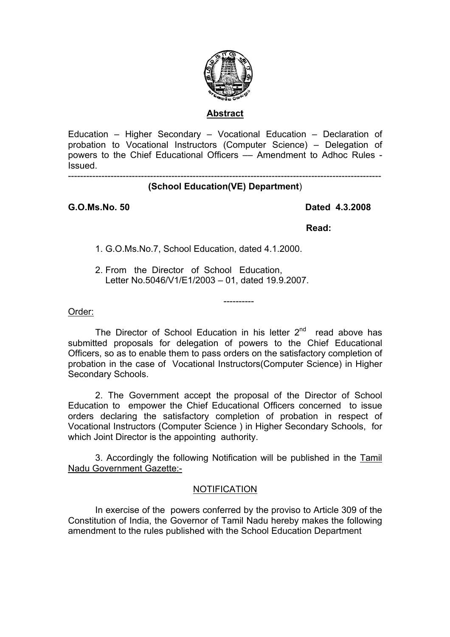

#### **Abstract**

Education – Higher Secondary – Vocational Education – Declaration of probation to Vocational Instructors (Computer Science) – Delegation of powers to the Chief Educational Officers –– Amendment to Adhoc Rules - Issued.

-------------------------------------------------------------------------------------------------------

# **(School Education(VE) Department**)

## **G.O.Ms.No. 50 Dated 4.3.2008**

*Read:* **Read:** 

1. G.O.Ms.No.7, School Education, dated 4.1.2000.

2. From the Director of School Education, Letter No.5046/V1/E1/2003 – 01, dated 19.9.2007.

## Order:

The Director of School Education in his letter  $2<sup>nd</sup>$  read above has submitted proposals for delegation of powers to the Chief Educational Officers, so as to enable them to pass orders on the satisfactory completion of probation in the case of Vocational Instructors(Computer Science) in Higher Secondary Schools.

----------

 2. The Government accept the proposal of the Director of School Education to empower the Chief Educational Officers concerned to issue orders declaring the satisfactory completion of probation in respect of Vocational Instructors (Computer Science ) in Higher Secondary Schools, for which Joint Director is the appointing authority.

 3. Accordingly the following Notification will be published in the Tamil Nadu Government Gazette:-

# NOTIFICATION

 In exercise of the powers conferred by the proviso to Article 309 of the Constitution of India, the Governor of Tamil Nadu hereby makes the following amendment to the rules published with the School Education Department